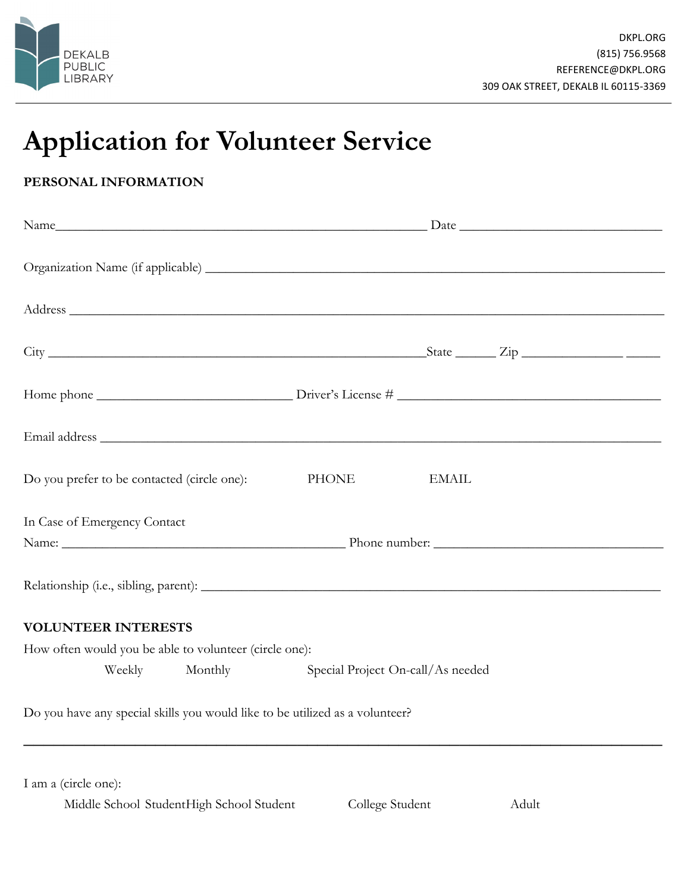

## **Application for Volunteer Service**

## **PERSONAL INFORMATION**

| Address and the contract of the contract of the contract of the contract of the contract of the contract of the contract of the contract of the contract of the contract of the contract of the contract of the contract of th |              |                                   |  |  |
|--------------------------------------------------------------------------------------------------------------------------------------------------------------------------------------------------------------------------------|--------------|-----------------------------------|--|--|
| $City$ $\_\_\_\_\_$ $\_\_\_\_\_$                                                                                                                                                                                               |              |                                   |  |  |
|                                                                                                                                                                                                                                |              |                                   |  |  |
|                                                                                                                                                                                                                                |              |                                   |  |  |
| Do you prefer to be contacted (circle one):                                                                                                                                                                                    | <b>PHONE</b> | <b>EMAIL</b>                      |  |  |
| In Case of Emergency Contact                                                                                                                                                                                                   |              |                                   |  |  |
|                                                                                                                                                                                                                                |              |                                   |  |  |
|                                                                                                                                                                                                                                |              |                                   |  |  |
| <b>VOLUNTEER INTERESTS</b>                                                                                                                                                                                                     |              |                                   |  |  |
| How often would you be able to volunteer (circle one):                                                                                                                                                                         |              |                                   |  |  |
| Monthly<br>Weekly                                                                                                                                                                                                              |              | Special Project On-call/As needed |  |  |
| Do you have any special skills you would like to be utilized as a volunteer?                                                                                                                                                   |              |                                   |  |  |

I am a (circle one):

| Middle School StudentHigh School Student | College Student | Adult |
|------------------------------------------|-----------------|-------|
|------------------------------------------|-----------------|-------|